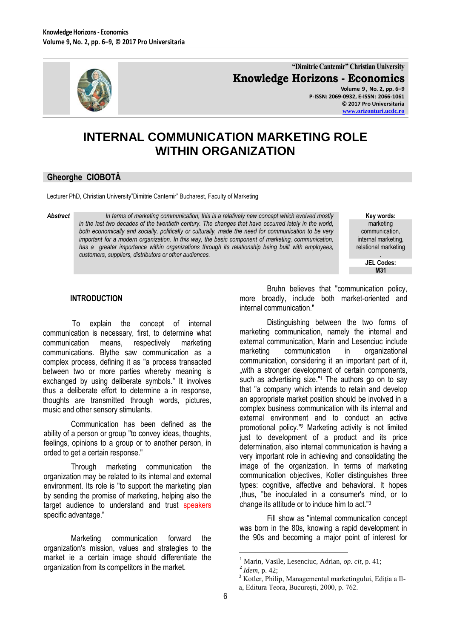

**"Dimitrie Cantemir" Christian University Knowledge Horizons - Economics Volume 9 , No. 2, pp. 6–9 P-ISSN: 2069-0932, E-ISSN: 2066-1061**

> **© 2017 Pro Universitaria [www.orizonturi.ucdc.ro](http://www.orizonturi.ucdc.ro/)**

## **INTERNAL COMMUNICATION MARKETING ROLE WITHIN ORGANIZATION**

## **Gheorghe CIOBOTĂ**

Lecturer PhD, Christian University"Dimitrie Cantemir" Bucharest, Faculty of Marketing

*Abstract In terms of marketing communication, this is a relatively new concept which evolved mostly in the last two decades of the twentieth century. The changes that have occurred lately in the world, both economically and socially, politically or culturally, made the need for communication to be very important for a modern organization. In this way, the basic component of marketing, communication,*  has a greater importance within organizations through its relationship being built with employees, *customers, suppliers, distributors or other audiences.*

**Key words:** marketing communication, internal marketing, relational marketing *.*

**JEL Codes: M31**

## **INTRODUCTION**

To explain the concept of internal communication is necessary, first, to determine what communication means, respectively marketing communications. Blythe saw communication as a complex process, defining it as "a process transacted between two or more parties whereby meaning is exchanged by using deliberate symbols." It involves thus a deliberate effort to determine a in response, thoughts are transmitted through words, pictures, music and other sensory stimulants.

Communication has been defined as the ability of a person or group "to convey ideas, thoughts, feelings, opinions to a group or to another person, in orded to get a certain response."

Through marketing communication the organization may be related to its internal and external environment. Its role is "to support the marketing plan by sending the promise of marketing, helping also the target audience to understand and trust speakers specific advantage."

Marketing communication forward the organization's mission, values and strategies to the market ie a certain image should differentiate the organization from its competitors in the market.

Bruhn believes that "communication policy, more broadly, include both market-oriented and internal communication."

Distinguishing between the two forms of marketing communication, namely the internal and external communication, Marin and Lesenciuc include marketing communication in organizational communication, considering it an important part of it, "with a stronger development of certain components, such as advertising size."<sup>1</sup> The authors go on to say that "a company which intends to retain and develop an appropriate market position should be involved in a complex business communication with its internal and external environment and to conduct an active promotional policy."<sup>2</sup> Marketing activity is not limited just to development of a product and its price determination, also internal communication is having a very important role in achieving and consolidating the image of the organization. In terms of marketing communication objectives, Kotler distinguishes three types: cognitive, affective and behavioral. It hopes ,thus, "be inoculated in a consumer's mind, or to change its attitude or to induce him to act.["](#page-0-0)<sup>3</sup>

Fill show as "internal communication concept was born in the 80s, knowing a rapid development in the 90s and becoming a major point of interest for

 $\overline{a}$ 

<sup>1</sup> Marin, Vasile, Lesenciuc, Adrian, *op. cit,* p. 41;

<sup>2</sup> *Idem,* p. 42;

<span id="page-0-0"></span><sup>&</sup>lt;sup>3</sup> Kotler, Philip, Managementul marketingului, Ediția a Ila, Editura Teora, Bucureşti, 2000, p. 762.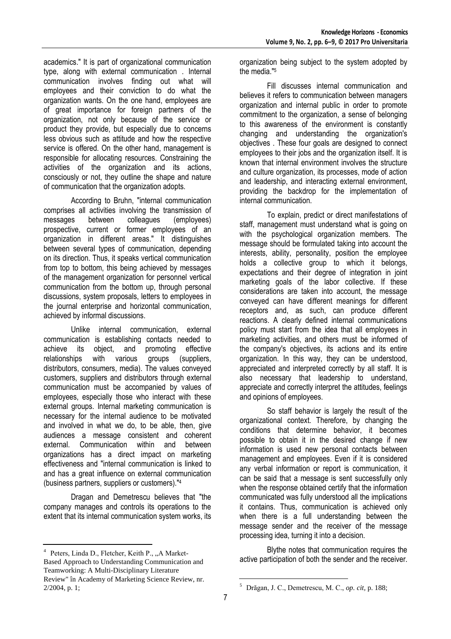academics." It is part of organizational communication type, along with external communication . Internal communication involves finding out what will employees and their conviction to do what the organization wants. On the one hand, employees are of great importance for foreign partners of the organization, not only because of the service or product they provide, but especially due to concerns less obvious such as attitude and how the respective service is offered. On the other hand, management is responsible for allocating resources. Constraining the activities of the organization and its actions, consciously or not, they outline the shape and nature of communication that the organization adopts.

According to Bruhn, "internal communication comprises all activities involving the transmission of messages between colleagues (employees) prospective, current or former employees of an organization in different areas." It distinguishes between several types of communication, depending on its direction. Thus, it speaks vertical communication from top to bottom, this being achieved by messages of the management organization for personnel vertical communication from the bottom up, through personal discussions, system proposals, letters to employees in the journal enterprise and horizontal communication, achieved by informal discussions.

Unlike internal communication, external communication is establishing contacts needed to achieve its object, and promoting effective relationships with various groups (suppliers, distributors, consumers, media). The values conveyed customers, suppliers and distributors through external communication must be accompanied by values of employees, especially those who interact with these external groups. Internal marketing communication is necessary for the internal audience to be motivated and involved in what we do, to be able, then, give audiences a message consistent and coherent external. Communication within and between organizations has a direct impact on marketing effectiveness and "internal communication is linked to and has a great influence on external communication (business partners, suppliers or customers)."<sup>4</sup>

Dragan and Demetrescu believes that "the company manages and controls its operations to the extent that its internal communication system works, its

 $\overline{a}$ 

organization being subject to the system adopted by the media."<sup>5</sup>

Fill discusses internal communication and believes it refers to communication between managers organization and internal public in order to promote commitment to the organization, a sense of belonging to this awareness of the environment is constantly changing and understanding the organization's objectives . These four goals are designed to connect employees to their jobs and the organization itself. It is known that internal environment involves the structure and culture organization, its processes, mode of action and leadership, and interacting external environment, providing the backdrop for the implementation of internal communication.

To explain, predict or direct manifestations of staff, management must understand what is going on with the psychological organization members. The message should be formulated taking into account the interests, ability, personality, position the employee holds a collective group to which it belongs, expectations and their degree of integration in joint marketing goals of the labor collective. If these considerations are taken into account, the message conveyed can have different meanings for different receptors and, as such, can produce different reactions. A clearly defined internal communications policy must start from the idea that all employees in marketing activities, and others must be informed of the company's objectives, its actions and its entire organization. In this way, they can be understood, appreciated and interpreted correctly by all staff. It is also necessary that leadership to understand, appreciate and correctly interpret the attitudes, feelings and opinions of employees.

So staff behavior is largely the result of the organizational context. Therefore, by changing the conditions that determine behavior, it becomes possible to obtain it in the desired change if new information is used new personal contacts between management and employees. Even if it is considered any verbal information or report is communication, it can be said that a message is sent successfully only when the response obtained certify that the information communicated was fully understood all the implications it contains. Thus, communication is achieved only when there is a full understanding between the message sender and the receiver of the message processing idea, turning it into a decision.

Blythe notes that communication requires the active participation of both the sender and the receiver.

 $\overline{a}$ 

<sup>&</sup>lt;sup>4</sup> Peters, Linda D., Fletcher, Keith P., "A Market-Based Approach to Understanding Communication and Teamworking: A Multi-Disciplinary Literature Review" în Academy of Marketing Science Review, nr. 2/2004, p. 1;

<sup>5</sup> Drăgan, J. C., Demetrescu, M. C., *op. cit,* p. 188;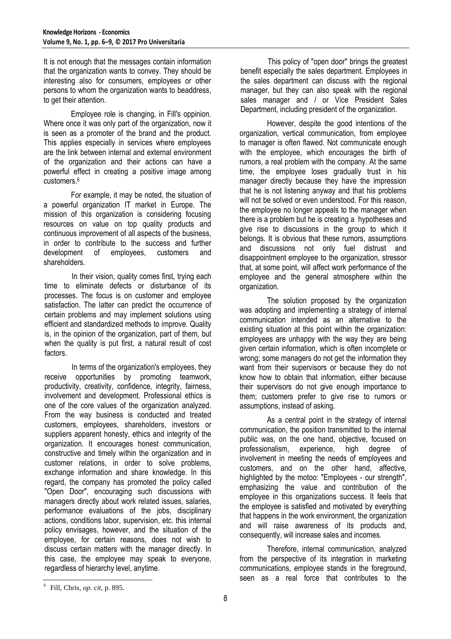It is not enough that the messages contain information that the organization wants to convey. They should be interesting also for consumers, employees or other persons to whom the organization wants to beaddress, to get their attention.

Employee role is changing, in Fill's oppinion. Where once it was only part of the organization, now it is seen as a promoter of the brand and the product. This applies especially in services where employees are the link between internal and external environment of the organization and their actions can have a powerful effect in creating a positive image among customers.[6](#page-2-0)

For example, it may be noted, the situation of a powerful organization IT market in Europe. The mission of this organization is considering focusing resources on value on top quality products and continuous improvement of all aspects of the business, in order to contribute to the success and further development of employees, customers and shareholders.

In their vision, quality comes first, trying each time to eliminate defects or disturbance of its processes. The focus is on customer and employee satisfaction. The latter can predict the occurrence of certain problems and may implement solutions using efficient and standardized methods to improve. Quality is, in the opinion of the organization, part of them, but when the quality is put first, a natural result of cost factors.

In terms of the organization's employees, they receive opportunities by promoting teamwork, productivity, creativity, confidence, integrity, fairness, involvement and development. Professional ethics is one of the core values of the organization analyzed. From the way business is conducted and treated customers, employees, shareholders, investors or suppliers apparent honesty, ethics and integrity of the organization. It encourages honest communication, constructive and timely within the organization and in customer relations, in order to solve problems, exchange information and share knowledge. In this regard, the company has promoted the policy called "Open Door", encouraging such discussions with managers directly about work related issues, salaries, performance evaluations of the jobs, disciplinary actions, conditions labor, supervision, etc. this internal policy envisages, however, and the situation of the employee, for certain reasons, does not wish to discuss certain matters with the manager directly. In this case, the employee may speak to everyone, regardless of hierarchy level, anytime.

This policy of "open door" brings the greatest benefit especially the sales department. Employees in the sales department can discuss with the regional manager, but they can also speak with the regional sales manager and / or Vice President Sales Department, including president of the organization.

However, despite the good intentions of the organization, vertical communication, from employee to manager is often flawed. Not communicate enough with the employee, which encourages the birth of rumors, a real problem with the company. At the same time, the employee loses gradually trust in his manager directly because they have the impression that he is not listening anyway and that his problems will not be solved or even understood. For this reason, the employee no longer appeals to the manager when there is a problem but he is creating a hypotheses and give rise to discussions in the group to which it belongs. It is obvious that these rumors, assumptions and discussions not only fuel distrust and disappointment employee to the organization, stressor that, at some point, will affect work performance of the employee and the general atmosphere within the organization.

The solution proposed by the organization was adopting and implementing a strategy of internal communication intended as an alternative to the existing situation at this point within the organization: employees are unhappy with the way they are being given certain information, which is often incomplete or wrong; some managers do not get the information they want from their supervisors or because they do not know how to obtain that information, either because their supervisors do not give enough importance to them; customers prefer to give rise to rumors or assumptions, instead of asking.

As a central point in the strategy of internal communication, the position transmitted to the internal public was, on the one hand, objective, focused on<br>professionalism, experience, high degree of experience, high degree of involvement in meeting the needs of employees and customers, and on the other hand, affective, highlighted by the motoo: "Employees - our strength", emphasizing the value and contribution of the employee in this organizations success. It feels that the employee is satisfied and motivated by everything that happens in the work environment, the organization and will raise awareness of its products and, consequently, will increase sales and incomes.

Therefore, internal communication, analyzed from the perspective of its integration in marketing communications, employee stands in the foreground, seen as a real force that contributes to the

<span id="page-2-0"></span> 6 Fill, Chris, *op. cit,* p. 895.